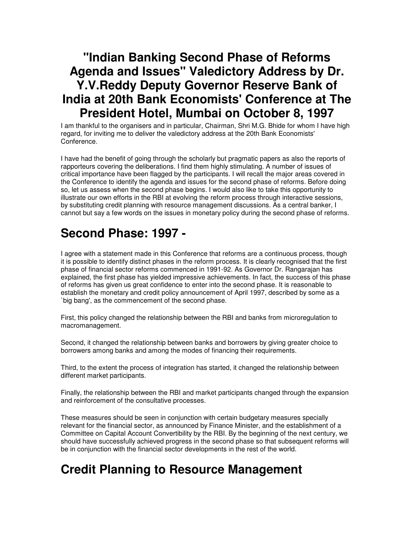#### **"Indian Banking Second Phase of Reforms Agenda and Issues" Valedictory Address by Dr. Y.V.Reddy Deputy Governor Reserve Bank of India at 20th Bank Economists' Conference at The President Hotel, Mumbai on October 8, 1997**

I am thankful to the organisers and in particular, Chairman, Shri M.G. Bhide for whom I have high regard, for inviting me to deliver the valedictory address at the 20th Bank Economists' Conference.

I have had the benefit of going through the scholarly but pragmatic papers as also the reports of rapporteurs covering the deliberations. I find them highly stimulating. A number of issues of critical importance have been flagged by the participants. I will recall the major areas covered in the Conference to identify the agenda and issues for the second phase of reforms. Before doing so, let us assess when the second phase begins. I would also like to take this opportunity to illustrate our own efforts in the RBI at evolving the reform process through interactive sessions, by substituting credit planning with resource management discussions. As a central banker, I cannot but say a few words on the issues in monetary policy during the second phase of reforms.

## **Second Phase: 1997 -**

I agree with a statement made in this Conference that reforms are a continuous process, though it is possible to identify distinct phases in the reform process. It is clearly recognised that the first phase of financial sector reforms commenced in 1991-92. As Governor Dr. Rangarajan has explained, the first phase has yielded impressive achievements. In fact, the success of this phase of reforms has given us great confidence to enter into the second phase. It is reasonable to establish the monetary and credit policy announcement of April 1997, described by some as a `big bang', as the commencement of the second phase.

First, this policy changed the relationship between the RBI and banks from microregulation to macromanagement.

Second, it changed the relationship between banks and borrowers by giving greater choice to borrowers among banks and among the modes of financing their requirements.

Third, to the extent the process of integration has started, it changed the relationship between different market participants.

Finally, the relationship between the RBI and market participants changed through the expansion and reinforcement of the consultative processes.

These measures should be seen in conjunction with certain budgetary measures specially relevant for the financial sector, as announced by Finance Minister, and the establishment of a Committee on Capital Account Convertibility by the RBI. By the beginning of the next century, we should have successfully achieved progress in the second phase so that subsequent reforms will be in conjunction with the financial sector developments in the rest of the world.

## **Credit Planning to Resource Management**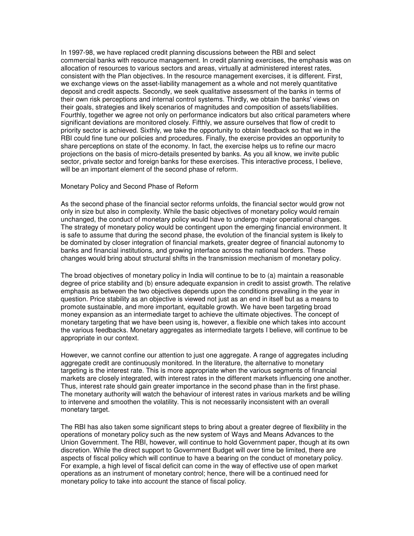In 1997-98, we have replaced credit planning discussions between the RBI and select commercial banks with resource management. In credit planning exercises, the emphasis was on allocation of resources to various sectors and areas, virtually at administered interest rates, consistent with the Plan objectives. In the resource management exercises, it is different. First, we exchange views on the asset-liability management as a whole and not merely quantitative deposit and credit aspects. Secondly, we seek qualitative assessment of the banks in terms of their own risk perceptions and internal control systems. Thirdly, we obtain the banks' views on their goals, strategies and likely scenarios of magnitudes and composition of assets/liabilities. Fourthly, together we agree not only on performance indicators but also critical parameters where significant deviations are monitored closely. Fifthly, we assure ourselves that flow of credit to priority sector is achieved. Sixthly, we take the opportunity to obtain feedback so that we in the RBI could fine tune our policies and procedures. Finally, the exercise provides an opportunity to share perceptions on state of the economy. In fact, the exercise helps us to refine our macro projections on the basis of micro-details presented by banks. As you all know, we invite public sector, private sector and foreign banks for these exercises. This interactive process, I believe, will be an important element of the second phase of reform.

#### Monetary Policy and Second Phase of Reform

As the second phase of the financial sector reforms unfolds, the financial sector would grow not only in size but also in complexity. While the basic objectives of monetary policy would remain unchanged, the conduct of monetary policy would have to undergo major operational changes. The strategy of monetary policy would be contingent upon the emerging financial environment. It is safe to assume that during the second phase, the evolution of the financial system is likely to be dominated by closer integration of financial markets, greater degree of financial autonomy to banks and financial institutions, and growing interface across the national borders. These changes would bring about structural shifts in the transmission mechanism of monetary policy.

The broad objectives of monetary policy in India will continue to be to (a) maintain a reasonable degree of price stability and (b) ensure adequate expansion in credit to assist growth. The relative emphasis as between the two objectives depends upon the conditions prevailing in the year in question. Price stability as an objective is viewed not just as an end in itself but as a means to promote sustainable, and more important, equitable growth. We have been targeting broad money expansion as an intermediate target to achieve the ultimate objectives. The concept of monetary targeting that we have been using is, however, a flexible one which takes into account the various feedbacks. Monetary aggregates as intermediate targets I believe, will continue to be appropriate in our context.

However, we cannot confine our attention to just one aggregate. A range of aggregates including aggregate credit are continuously monitored. In the literature, the alternative to monetary targeting is the interest rate. This is more appropriate when the various segments of financial markets are closely integrated, with interest rates in the different markets influencing one another. Thus, interest rate should gain greater importance in the second phase than in the first phase. The monetary authority will watch the behaviour of interest rates in various markets and be willing to intervene and smoothen the volatility. This is not necessarily inconsistent with an overall monetary target.

The RBI has also taken some significant steps to bring about a greater degree of flexibility in the operations of monetary policy such as the new system of Ways and Means Advances to the Union Government. The RBI, however, will continue to hold Government paper, though at its own discretion. While the direct support to Government Budget will over time be limited, there are aspects of fiscal policy which will continue to have a bearing on the conduct of monetary policy. For example, a high level of fiscal deficit can come in the way of effective use of open market operations as an instrument of monetary control; hence, there will be a continued need for monetary policy to take into account the stance of fiscal policy.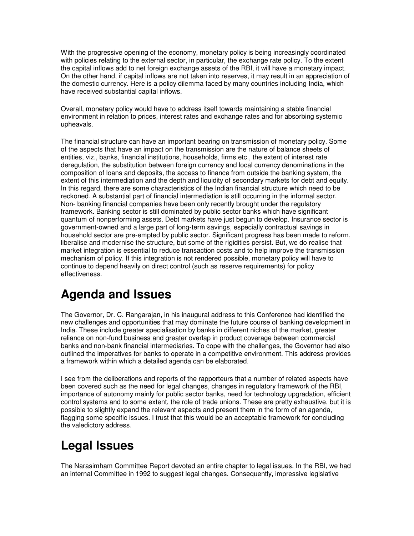With the progressive opening of the economy, monetary policy is being increasingly coordinated with policies relating to the external sector, in particular, the exchange rate policy. To the extent the capital inflows add to net foreign exchange assets of the RBI, it will have a monetary impact. On the other hand, if capital inflows are not taken into reserves, it may result in an appreciation of the domestic currency. Here is a policy dilemma faced by many countries including India, which have received substantial capital inflows.

Overall, monetary policy would have to address itself towards maintaining a stable financial environment in relation to prices, interest rates and exchange rates and for absorbing systemic upheavals.

The financial structure can have an important bearing on transmission of monetary policy. Some of the aspects that have an impact on the transmission are the nature of balance sheets of entities, viz., banks, financial institutions, households, firms etc., the extent of interest rate deregulation, the substitution between foreign currency and local currency denominations in the composition of loans and deposits, the access to finance from outside the banking system, the extent of this intermediation and the depth and liquidity of secondary markets for debt and equity. In this regard, there are some characteristics of the Indian financial structure which need to be reckoned. A substantial part of financial intermediation is still occurring in the informal sector. Non- banking financial companies have been only recently brought under the regulatory framework. Banking sector is still dominated by public sector banks which have significant quantum of nonperforming assets. Debt markets have just begun to develop. Insurance sector is government-owned and a large part of long-term savings, especially contractual savings in household sector are pre-empted by public sector. Significant progress has been made to reform, liberalise and modernise the structure, but some of the rigidities persist. But, we do realise that market integration is essential to reduce transaction costs and to help improve the transmission mechanism of policy. If this integration is not rendered possible, monetary policy will have to continue to depend heavily on direct control (such as reserve requirements) for policy effectiveness.

## **Agenda and Issues**

The Governor, Dr. C. Rangarajan, in his inaugural address to this Conference had identified the new challenges and opportunities that may dominate the future course of banking development in India. These include greater specialisation by banks in different niches of the market, greater reliance on non-fund business and greater overlap in product coverage between commercial banks and non-bank financial intermediaries. To cope with the challenges, the Governor had also outlined the imperatives for banks to operate in a competitive environment. This address provides a framework within which a detailed agenda can be elaborated.

I see from the deliberations and reports of the rapporteurs that a number of related aspects have been covered such as the need for legal changes, changes in regulatory framework of the RBI, importance of autonomy mainly for public sector banks, need for technology upgradation, efficient control systems and to some extent, the role of trade unions. These are pretty exhaustive, but it is possible to slightly expand the relevant aspects and present them in the form of an agenda, flagging some specific issues. I trust that this would be an acceptable framework for concluding the valedictory address.

# **Legal Issues**

The Narasimham Committee Report devoted an entire chapter to legal issues. In the RBI, we had an internal Committee in 1992 to suggest legal changes. Consequently, impressive legislative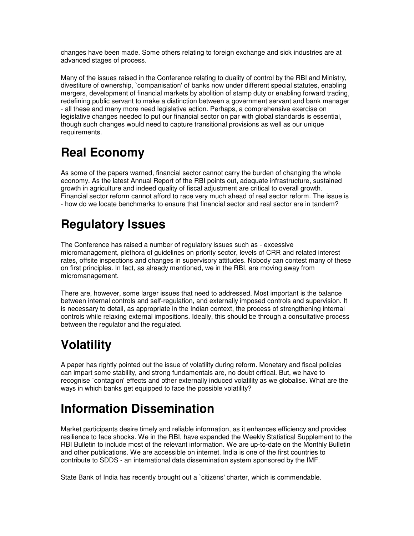changes have been made. Some others relating to foreign exchange and sick industries are at advanced stages of process.

Many of the issues raised in the Conference relating to duality of control by the RBI and Ministry, divestiture of ownership, `companisation' of banks now under different special statutes, enabling mergers, development of financial markets by abolition of stamp duty or enabling forward trading, redefining public servant to make a distinction between a government servant and bank manager - all these and many more need legislative action. Perhaps, a comprehensive exercise on legislative changes needed to put our financial sector on par with global standards is essential, though such changes would need to capture transitional provisions as well as our unique requirements.

# **Real Economy**

As some of the papers warned, financial sector cannot carry the burden of changing the whole economy. As the latest Annual Report of the RBI points out, adequate infrastructure, sustained growth in agriculture and indeed quality of fiscal adjustment are critical to overall growth. Financial sector reform cannot afford to race very much ahead of real sector reform. The issue is - how do we locate benchmarks to ensure that financial sector and real sector are in tandem?

## **Regulatory Issues**

The Conference has raised a number of regulatory issues such as - excessive micromanagement, plethora of guidelines on priority sector, levels of CRR and related interest rates, offsite inspections and changes in supervisory attitudes. Nobody can contest many of these on first principles. In fact, as already mentioned, we in the RBI, are moving away from micromanagement.

There are, however, some larger issues that need to addressed. Most important is the balance between internal controls and self-regulation, and externally imposed controls and supervision. It is necessary to detail, as appropriate in the Indian context, the process of strengthening internal controls while relaxing external impositions. Ideally, this should be through a consultative process between the regulator and the regulated.

## **Volatility**

A paper has rightly pointed out the issue of volatility during reform. Monetary and fiscal policies can impart some stability, and strong fundamentals are, no doubt critical. But, we have to recognise `contagion' effects and other externally induced volatility as we globalise. What are the ways in which banks get equipped to face the possible volatility?

## **Information Dissemination**

Market participants desire timely and reliable information, as it enhances efficiency and provides resilience to face shocks. We in the RBI, have expanded the Weekly Statistical Supplement to the RBI Bulletin to include most of the relevant information. We are up-to-date on the Monthly Bulletin and other publications. We are accessible on internet. India is one of the first countries to contribute to SDDS - an international data dissemination system sponsored by the IMF.

State Bank of India has recently brought out a `citizens' charter, which is commendable.